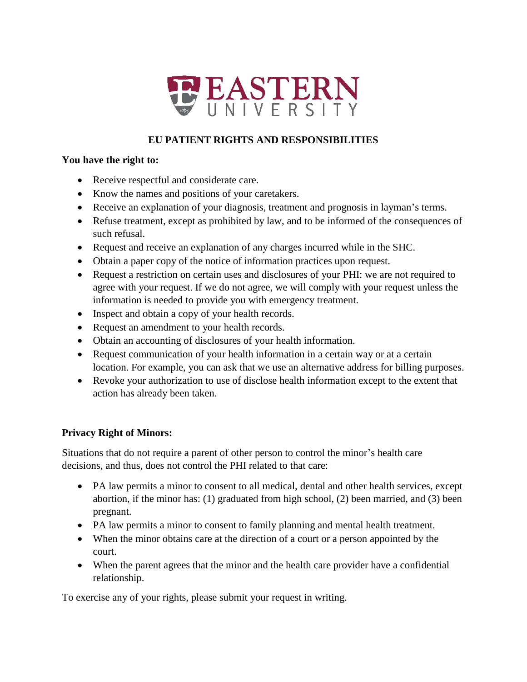

# **EU PATIENT RIGHTS AND RESPONSIBILITIES**

#### **You have the right to:**

- Receive respectful and considerate care.
- Know the names and positions of your caretakers.
- Receive an explanation of your diagnosis, treatment and prognosis in layman's terms.
- Refuse treatment, except as prohibited by law, and to be informed of the consequences of such refusal.
- Request and receive an explanation of any charges incurred while in the SHC.
- Obtain a paper copy of the notice of information practices upon request.
- Request a restriction on certain uses and disclosures of your PHI: we are not required to agree with your request. If we do not agree, we will comply with your request unless the information is needed to provide you with emergency treatment.
- Inspect and obtain a copy of your health records.
- Request an amendment to your health records.
- Obtain an accounting of disclosures of your health information.
- Request communication of your health information in a certain way or at a certain location. For example, you can ask that we use an alternative address for billing purposes.
- Revoke your authorization to use of disclose health information except to the extent that action has already been taken.

## **Privacy Right of Minors:**

Situations that do not require a parent of other person to control the minor's health care decisions, and thus, does not control the PHI related to that care:

- PA law permits a minor to consent to all medical, dental and other health services, except abortion, if the minor has: (1) graduated from high school, (2) been married, and (3) been pregnant.
- PA law permits a minor to consent to family planning and mental health treatment.
- When the minor obtains care at the direction of a court or a person appointed by the court.
- When the parent agrees that the minor and the health care provider have a confidential relationship.

To exercise any of your rights, please submit your request in writing.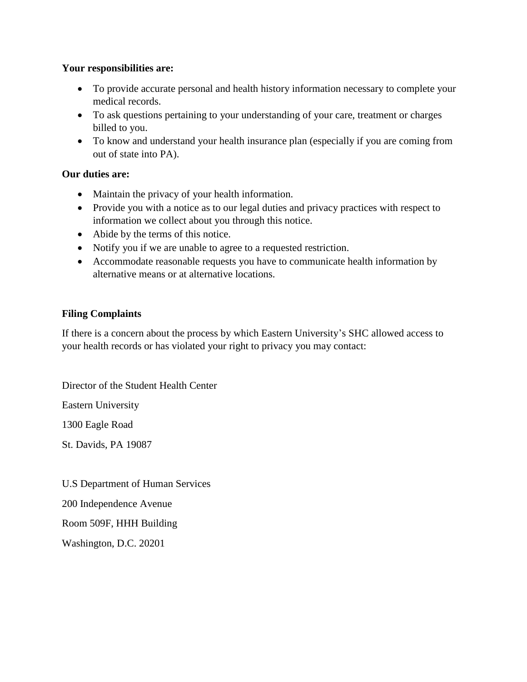#### **Your responsibilities are:**

- To provide accurate personal and health history information necessary to complete your medical records.
- To ask questions pertaining to your understanding of your care, treatment or charges billed to you.
- To know and understand your health insurance plan (especially if you are coming from out of state into PA).

## **Our duties are:**

- Maintain the privacy of your health information.
- Provide you with a notice as to our legal duties and privacy practices with respect to information we collect about you through this notice.
- Abide by the terms of this notice.
- Notify you if we are unable to agree to a requested restriction.
- Accommodate reasonable requests you have to communicate health information by alternative means or at alternative locations.

## **Filing Complaints**

If there is a concern about the process by which Eastern University's SHC allowed access to your health records or has violated your right to privacy you may contact:

Director of the Student Health Center

Eastern University

1300 Eagle Road

St. Davids, PA 19087

U.S Department of Human Services

200 Independence Avenue

Room 509F, HHH Building

Washington, D.C. 20201